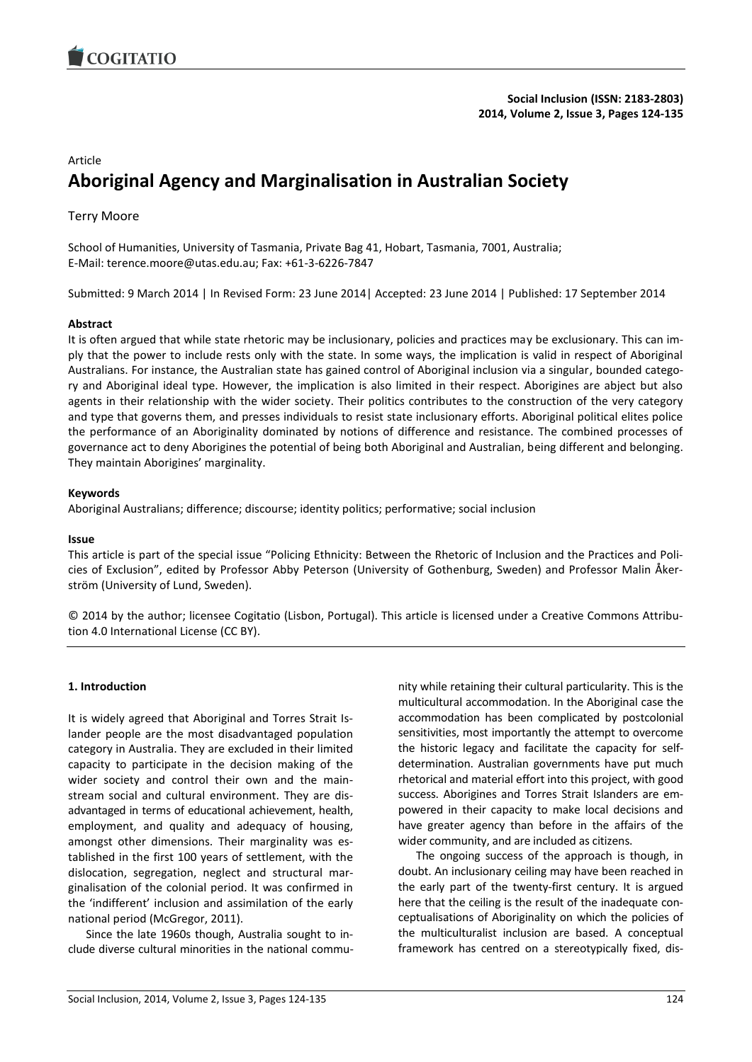

#### Article

# **Aboriginal Agency and Marginalisation in Australian Society**

# Terry Moore

School of Humanities, University of Tasmania, Private Bag 41, Hobart, Tasmania, 7001, Australia; E-Mail: terence.moore@utas.edu.au; Fax: +61-3-6226-7847

Submitted: 9 March 2014 | In Revised Form: 23 June 2014| Accepted: 23 June 2014 | Published: 17 September 2014

#### **Abstract**

It is often argued that while state rhetoric may be inclusionary, policies and practices may be exclusionary. This can imply that the power to include rests only with the state. In some ways, the implication is valid in respect of Aboriginal Australians. For instance, the Australian state has gained control of Aboriginal inclusion via a singular, bounded category and Aboriginal ideal type. However, the implication is also limited in their respect. Aborigines are abject but also agents in their relationship with the wider society. Their politics contributes to the construction of the very category and type that governs them, and presses individuals to resist state inclusionary efforts. Aboriginal political elites police the performance of an Aboriginality dominated by notions of difference and resistance. The combined processes of governance act to deny Aborigines the potential of being both Aboriginal and Australian, being different and belonging. They maintain Aborigines' marginality.

#### **Keywords**

Aboriginal Australians; difference; discourse; identity politics; performative; social inclusion

#### **Issue**

This article is part of the special issue "Policing Ethnicity: Between the Rhetoric of Inclusion and the Practices and Policies of Exclusion", edited by Professor Abby Peterson (University of Gothenburg, Sweden) and Professor Malin Åkerström (University of Lund, Sweden).

© 2014 by the author; licensee Cogitatio (Lisbon, Portugal). This article is licensed under a Creative Commons Attribution 4.0 International License (CC BY).

#### **1. Introduction**

It is widely agreed that Aboriginal and Torres Strait Islander people are the most disadvantaged population category in Australia. They are excluded in their limited capacity to participate in the decision making of the wider society and control their own and the mainstream social and cultural environment. They are disadvantaged in terms of educational achievement, health, employment, and quality and adequacy of housing, amongst other dimensions. Their marginality was established in the first 100 years of settlement, with the dislocation, segregation, neglect and structural marginalisation of the colonial period. It was confirmed in the 'indifferent' inclusion and assimilation of the early national period (McGregor, 2011).

Since the late 1960s though, Australia sought to include diverse cultural minorities in the national community while retaining their cultural particularity. This is the multicultural accommodation. In the Aboriginal case the accommodation has been complicated by postcolonial sensitivities, most importantly the attempt to overcome the historic legacy and facilitate the capacity for selfdetermination. Australian governments have put much rhetorical and material effort into this project, with good success. Aborigines and Torres Strait Islanders are empowered in their capacity to make local decisions and have greater agency than before in the affairs of the wider community, and are included as citizens.

The ongoing success of the approach is though, in doubt. An inclusionary ceiling may have been reached in the early part of the twenty-first century. It is argued here that the ceiling is the result of the inadequate conceptualisations of Aboriginality on which the policies of the multiculturalist inclusion are based. A conceptual framework has centred on a stereotypically fixed, dis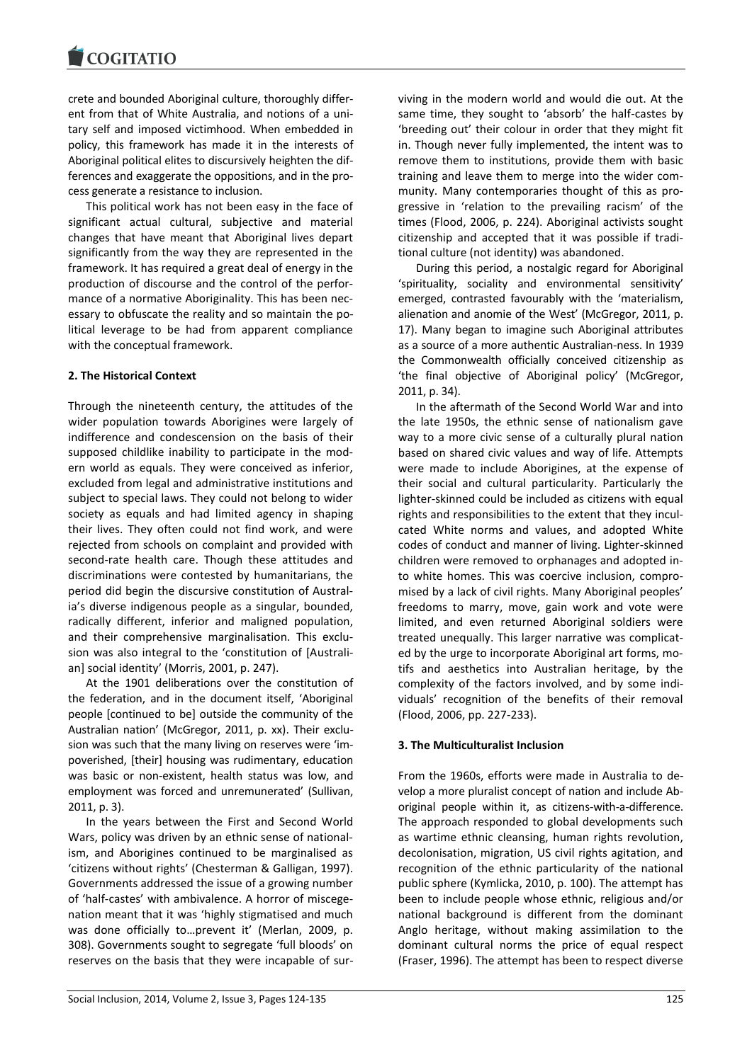crete and bounded Aboriginal culture, thoroughly different from that of White Australia, and notions of a unitary self and imposed victimhood. When embedded in policy, this framework has made it in the interests of Aboriginal political elites to discursively heighten the differences and exaggerate the oppositions, and in the process generate a resistance to inclusion.

This political work has not been easy in the face of significant actual cultural, subjective and material changes that have meant that Aboriginal lives depart significantly from the way they are represented in the framework. It has required a great deal of energy in the production of discourse and the control of the performance of a normative Aboriginality. This has been necessary to obfuscate the reality and so maintain the political leverage to be had from apparent compliance with the conceptual framework.

# **2. The Historical Context**

Through the nineteenth century, the attitudes of the wider population towards Aborigines were largely of indifference and condescension on the basis of their supposed childlike inability to participate in the modern world as equals. They were conceived as inferior, excluded from legal and administrative institutions and subject to special laws. They could not belong to wider society as equals and had limited agency in shaping their lives. They often could not find work, and were rejected from schools on complaint and provided with second-rate health care. Though these attitudes and discriminations were contested by humanitarians, the period did begin the discursive constitution of Australia's diverse indigenous people as a singular, bounded, radically different, inferior and maligned population, and their comprehensive marginalisation. This exclusion was also integral to the 'constitution of [Australian] social identity' (Morris, 2001, p. 247).

At the 1901 deliberations over the constitution of the federation, and in the document itself, 'Aboriginal people [continued to be] outside the community of the Australian nation' (McGregor, 2011, p. xx). Their exclusion was such that the many living on reserves were 'impoverished, [their] housing was rudimentary, education was basic or non-existent, health status was low, and employment was forced and unremunerated' (Sullivan, 2011, p. 3).

In the years between the First and Second World Wars, policy was driven by an ethnic sense of nationalism, and Aborigines continued to be marginalised as 'citizens without rights' (Chesterman & Galligan, 1997). Governments addressed the issue of a growing number of 'half-castes' with ambivalence. A horror of miscegenation meant that it was 'highly stigmatised and much was done officially to…prevent it' (Merlan, 2009, p. 308). Governments sought to segregate 'full bloods' on reserves on the basis that they were incapable of surviving in the modern world and would die out. At the same time, they sought to 'absorb' the half-castes by 'breeding out' their colour in order that they might fit in. Though never fully implemented, the intent was to remove them to institutions, provide them with basic training and leave them to merge into the wider community. Many contemporaries thought of this as progressive in 'relation to the prevailing racism' of the times (Flood, 2006, p. 224). Aboriginal activists sought citizenship and accepted that it was possible if traditional culture (not identity) was abandoned.

During this period, a nostalgic regard for Aboriginal 'spirituality, sociality and environmental sensitivity' emerged, contrasted favourably with the 'materialism, alienation and anomie of the West' (McGregor, 2011, p. 17). Many began to imagine such Aboriginal attributes as a source of a more authentic Australian-ness. In 1939 the Commonwealth officially conceived citizenship as 'the final objective of Aboriginal policy' (McGregor, 2011, p. 34).

In the aftermath of the Second World War and into the late 1950s, the ethnic sense of nationalism gave way to a more civic sense of a culturally plural nation based on shared civic values and way of life. Attempts were made to include Aborigines, at the expense of their social and cultural particularity. Particularly the lighter-skinned could be included as citizens with equal rights and responsibilities to the extent that they inculcated White norms and values, and adopted White codes of conduct and manner of living. Lighter-skinned children were removed to orphanages and adopted into white homes. This was coercive inclusion, compromised by a lack of civil rights. Many Aboriginal peoples' freedoms to marry, move, gain work and vote were limited, and even returned Aboriginal soldiers were treated unequally. This larger narrative was complicated by the urge to incorporate Aboriginal art forms, motifs and aesthetics into Australian heritage, by the complexity of the factors involved, and by some individuals' recognition of the benefits of their removal (Flood, 2006, pp. 227-233).

## **3. The Multiculturalist Inclusion**

From the 1960s, efforts were made in Australia to develop a more pluralist concept of nation and include Aboriginal people within it, as citizens-with-a-difference. The approach responded to global developments such as wartime ethnic cleansing, human rights revolution, decolonisation, migration, US civil rights agitation, and recognition of the ethnic particularity of the national public sphere (Kymlicka, 2010, p. 100). The attempt has been to include people whose ethnic, religious and/or national background is different from the dominant Anglo heritage, without making assimilation to the dominant cultural norms the price of equal respect (Fraser, 1996). The attempt has been to respect diverse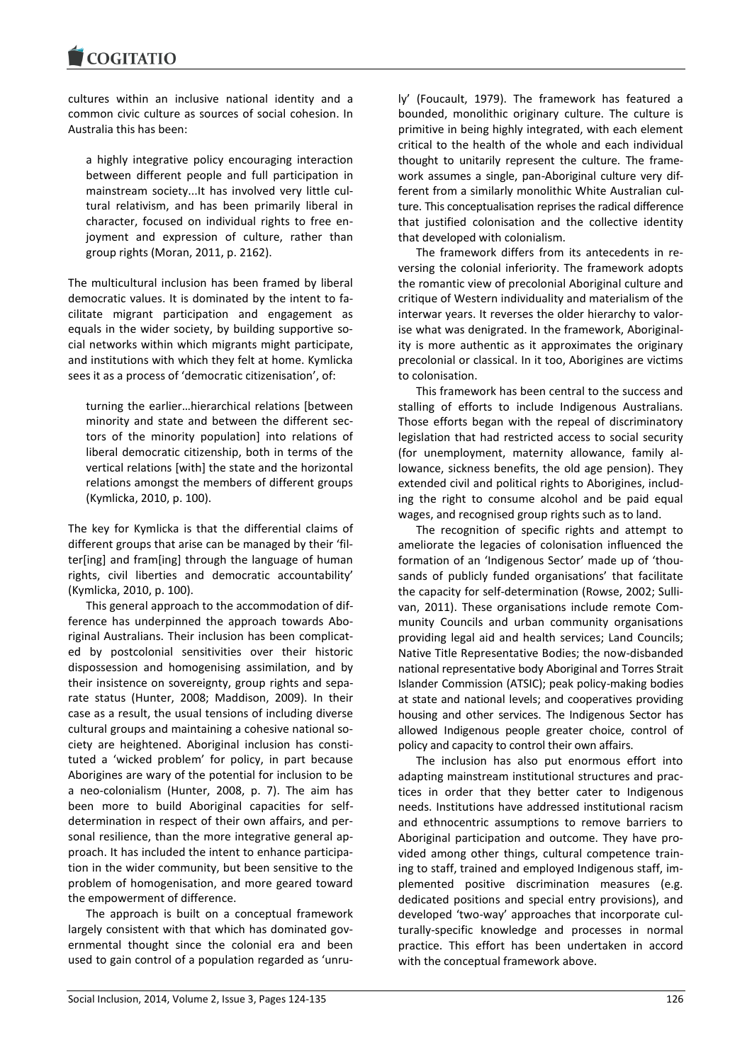cultures within an inclusive national identity and a common civic culture as sources of social cohesion. In Australia this has been:

a highly integrative policy encouraging interaction between different people and full participation in mainstream society...It has involved very little cultural relativism, and has been primarily liberal in character, focused on individual rights to free enjoyment and expression of culture, rather than group rights (Moran, 2011, p. 2162).

The multicultural inclusion has been framed by liberal democratic values. It is dominated by the intent to facilitate migrant participation and engagement as equals in the wider society, by building supportive social networks within which migrants might participate, and institutions with which they felt at home. Kymlicka sees it as a process of 'democratic citizenisation', of:

turning the earlier…hierarchical relations [between minority and state and between the different sectors of the minority population] into relations of liberal democratic citizenship, both in terms of the vertical relations [with] the state and the horizontal relations amongst the members of different groups (Kymlicka, 2010, p. 100).

The key for Kymlicka is that the differential claims of different groups that arise can be managed by their 'filter[ing] and fram[ing] through the language of human rights, civil liberties and democratic accountability' (Kymlicka, 2010, p. 100).

This general approach to the accommodation of difference has underpinned the approach towards Aboriginal Australians. Their inclusion has been complicated by postcolonial sensitivities over their historic dispossession and homogenising assimilation, and by their insistence on sovereignty, group rights and separate status (Hunter, 2008; Maddison, 2009). In their case as a result, the usual tensions of including diverse cultural groups and maintaining a cohesive national society are heightened. Aboriginal inclusion has constituted a 'wicked problem' for policy, in part because Aborigines are wary of the potential for inclusion to be a neo-colonialism (Hunter, 2008, p. 7). The aim has been more to build Aboriginal capacities for selfdetermination in respect of their own affairs, and personal resilience, than the more integrative general approach. It has included the intent to enhance participation in the wider community, but been sensitive to the problem of homogenisation, and more geared toward the empowerment of difference.

The approach is built on a conceptual framework largely consistent with that which has dominated governmental thought since the colonial era and been used to gain control of a population regarded as 'unruly' (Foucault, 1979). The framework has featured a bounded, monolithic originary culture. The culture is primitive in being highly integrated, with each element critical to the health of the whole and each individual thought to unitarily represent the culture. The framework assumes a single, pan-Aboriginal culture very different from a similarly monolithic White Australian culture. This conceptualisation reprises the radical difference that justified colonisation and the collective identity that developed with colonialism.

The framework differs from its antecedents in reversing the colonial inferiority. The framework adopts the romantic view of precolonial Aboriginal culture and critique of Western individuality and materialism of the interwar years. It reverses the older hierarchy to valorise what was denigrated. In the framework, Aboriginality is more authentic as it approximates the originary precolonial or classical. In it too, Aborigines are victims to colonisation.

This framework has been central to the success and stalling of efforts to include Indigenous Australians. Those efforts began with the repeal of discriminatory legislation that had restricted access to social security (for unemployment, maternity allowance, family allowance, sickness benefits, the old age pension). They extended civil and political rights to Aborigines, including the right to consume alcohol and be paid equal wages, and recognised group rights such as to land.

The recognition of specific rights and attempt to ameliorate the legacies of colonisation influenced the formation of an 'Indigenous Sector' made up of 'thousands of publicly funded organisations' that facilitate the capacity for self-determination (Rowse, 2002; Sullivan, 2011). These organisations include remote Community Councils and urban community organisations providing legal aid and health services; Land Councils; Native Title Representative Bodies; the now-disbanded national representative body Aboriginal and Torres Strait Islander Commission (ATSIC); peak policy-making bodies at state and national levels; and cooperatives providing housing and other services. The Indigenous Sector has allowed Indigenous people greater choice, control of policy and capacity to control their own affairs.

The inclusion has also put enormous effort into adapting mainstream institutional structures and practices in order that they better cater to Indigenous needs. Institutions have addressed institutional racism and ethnocentric assumptions to remove barriers to Aboriginal participation and outcome. They have provided among other things, cultural competence training to staff, trained and employed Indigenous staff, implemented positive discrimination measures (e.g. dedicated positions and special entry provisions), and developed 'two-way' approaches that incorporate culturally-specific knowledge and processes in normal practice. This effort has been undertaken in accord with the conceptual framework above.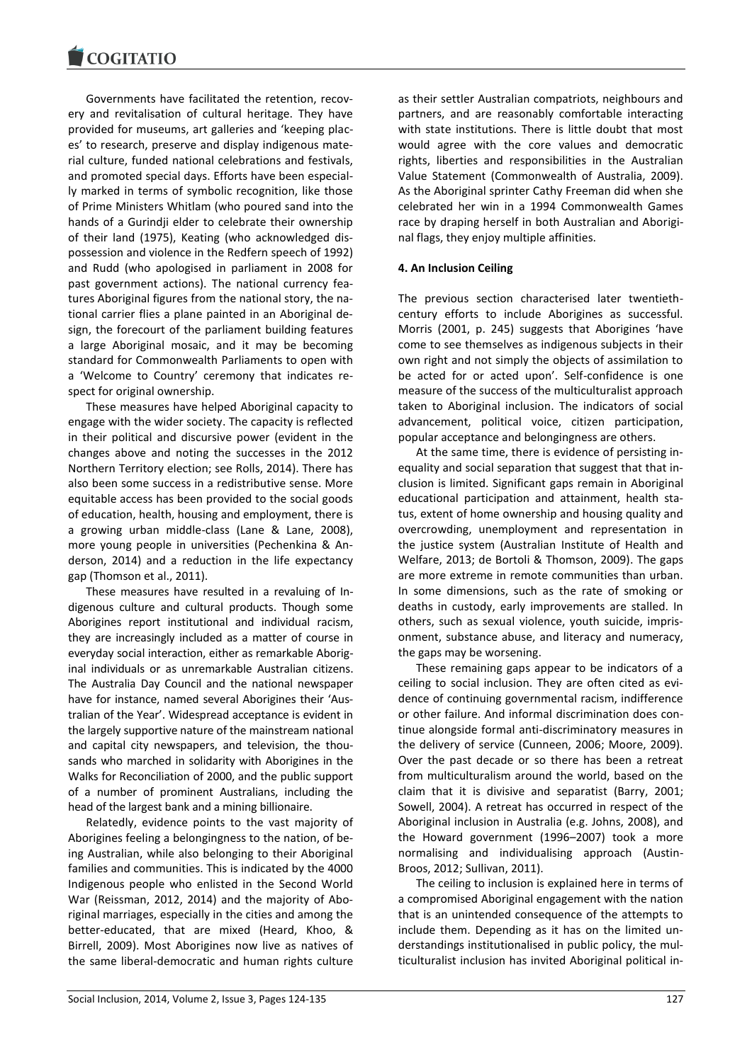Governments have facilitated the retention, recovery and revitalisation of cultural heritage. They have provided for museums, art galleries and 'keeping places' to research, preserve and display indigenous material culture, funded national celebrations and festivals, and promoted special days. Efforts have been especially marked in terms of symbolic recognition, like those of Prime Ministers Whitlam (who poured sand into the hands of a Gurindji elder to celebrate their ownership of their land (1975), Keating (who acknowledged dispossession and violence in the Redfern speech of 1992) and Rudd (who apologised in parliament in 2008 for past government actions). The national currency features Aboriginal figures from the national story, the national carrier flies a plane painted in an Aboriginal design, the forecourt of the parliament building features a large Aboriginal mosaic, and it may be becoming standard for Commonwealth Parliaments to open with a 'Welcome to Country' ceremony that indicates respect for original ownership.

These measures have helped Aboriginal capacity to engage with the wider society. The capacity is reflected in their political and discursive power (evident in the changes above and noting the successes in the 2012 Northern Territory election; see Rolls, 2014). There has also been some success in a redistributive sense. More equitable access has been provided to the social goods of education, health, housing and employment, there is a growing urban middle-class (Lane & Lane, 2008), more young people in universities (Pechenkina & Anderson, 2014) and a reduction in the life expectancy gap (Thomson et al., 2011).

These measures have resulted in a revaluing of Indigenous culture and cultural products. Though some Aborigines report institutional and individual racism, they are increasingly included as a matter of course in everyday social interaction, either as remarkable Aboriginal individuals or as unremarkable Australian citizens. The Australia Day Council and the national newspaper have for instance, named several Aborigines their 'Australian of the Year'. Widespread acceptance is evident in the largely supportive nature of the mainstream national and capital city newspapers, and television, the thousands who marched in solidarity with Aborigines in the Walks for Reconciliation of 2000, and the public support of a number of prominent Australians, including the head of the largest bank and a mining billionaire.

Relatedly, evidence points to the vast majority of Aborigines feeling a belongingness to the nation, of being Australian, while also belonging to their Aboriginal families and communities. This is indicated by the 4000 Indigenous people who enlisted in the Second World War (Reissman, 2012, 2014) and the majority of Aboriginal marriages, especially in the cities and among the better-educated, that are mixed (Heard, Khoo, & Birrell, 2009). Most Aborigines now live as natives of the same liberal-democratic and human rights culture

as their settler Australian compatriots, neighbours and partners, and are reasonably comfortable interacting with state institutions. There is little doubt that most would agree with the core values and democratic rights, liberties and responsibilities in the Australian Value Statement (Commonwealth of Australia, 2009). As the Aboriginal sprinter Cathy Freeman did when she celebrated her win in a 1994 Commonwealth Games race by draping herself in both Australian and Aboriginal flags, they enjoy multiple affinities.

## **4. An Inclusion Ceiling**

The previous section characterised later twentiethcentury efforts to include Aborigines as successful. Morris (2001, p. 245) suggests that Aborigines 'have come to see themselves as indigenous subjects in their own right and not simply the objects of assimilation to be acted for or acted upon'. Self-confidence is one measure of the success of the multiculturalist approach taken to Aboriginal inclusion. The indicators of social advancement, political voice, citizen participation, popular acceptance and belongingness are others.

At the same time, there is evidence of persisting inequality and social separation that suggest that that inclusion is limited. Significant gaps remain in Aboriginal educational participation and attainment, health status, extent of home ownership and housing quality and overcrowding, unemployment and representation in the justice system (Australian Institute of Health and Welfare, 2013; de Bortoli & Thomson, 2009). The gaps are more extreme in remote communities than urban. In some dimensions, such as the rate of smoking or deaths in custody, early improvements are stalled. In others, such as sexual violence, youth suicide, imprisonment, substance abuse, and literacy and numeracy, the gaps may be worsening.

These remaining gaps appear to be indicators of a ceiling to social inclusion. They are often cited as evidence of continuing governmental racism, indifference or other failure. And informal discrimination does continue alongside formal anti-discriminatory measures in the delivery of service (Cunneen, 2006; Moore, 2009). Over the past decade or so there has been a retreat from multiculturalism around the world, based on the claim that it is divisive and separatist (Barry, 2001; Sowell, 2004). A retreat has occurred in respect of the Aboriginal inclusion in Australia (e.g. Johns, 2008), and the Howard government (1996–2007) took a more normalising and individualising approach (Austin-Broos, 2012; Sullivan, 2011).

The ceiling to inclusion is explained here in terms of a compromised Aboriginal engagement with the nation that is an unintended consequence of the attempts to include them. Depending as it has on the limited understandings institutionalised in public policy, the multiculturalist inclusion has invited Aboriginal political in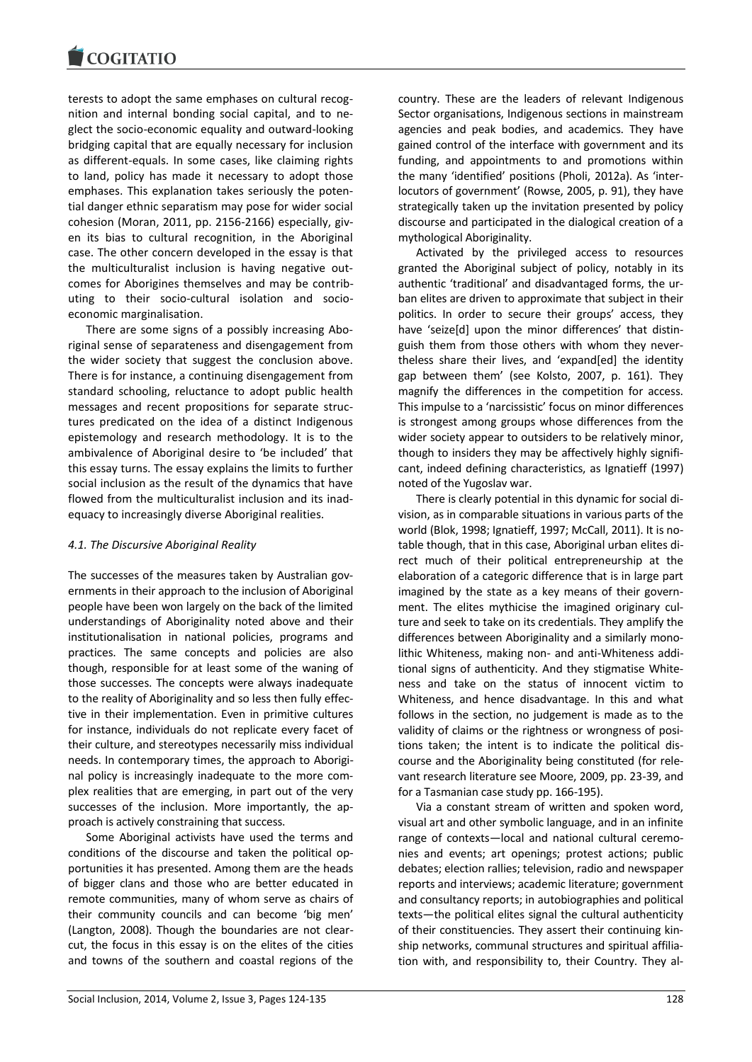terests to adopt the same emphases on cultural recognition and internal bonding social capital, and to neglect the socio-economic equality and outward-looking bridging capital that are equally necessary for inclusion as different-equals. In some cases, like claiming rights to land, policy has made it necessary to adopt those emphases. This explanation takes seriously the potential danger ethnic separatism may pose for wider social cohesion (Moran, 2011, pp. 2156-2166) especially, given its bias to cultural recognition, in the Aboriginal case. The other concern developed in the essay is that the multiculturalist inclusion is having negative outcomes for Aborigines themselves and may be contributing to their socio-cultural isolation and socioeconomic marginalisation.

There are some signs of a possibly increasing Aboriginal sense of separateness and disengagement from the wider society that suggest the conclusion above. There is for instance, a continuing disengagement from standard schooling, reluctance to adopt public health messages and recent propositions for separate structures predicated on the idea of a distinct Indigenous epistemology and research methodology. It is to the ambivalence of Aboriginal desire to 'be included' that this essay turns. The essay explains the limits to further social inclusion as the result of the dynamics that have flowed from the multiculturalist inclusion and its inadequacy to increasingly diverse Aboriginal realities.

## *4.1. The Discursive Aboriginal Reality*

The successes of the measures taken by Australian governments in their approach to the inclusion of Aboriginal people have been won largely on the back of the limited understandings of Aboriginality noted above and their institutionalisation in national policies, programs and practices. The same concepts and policies are also though, responsible for at least some of the waning of those successes. The concepts were always inadequate to the reality of Aboriginality and so less then fully effective in their implementation. Even in primitive cultures for instance, individuals do not replicate every facet of their culture, and stereotypes necessarily miss individual needs. In contemporary times, the approach to Aboriginal policy is increasingly inadequate to the more complex realities that are emerging, in part out of the very successes of the inclusion. More importantly, the approach is actively constraining that success.

Some Aboriginal activists have used the terms and conditions of the discourse and taken the political opportunities it has presented. Among them are the heads of bigger clans and those who are better educated in remote communities, many of whom serve as chairs of their community councils and can become 'big men' (Langton, 2008). Though the boundaries are not clearcut, the focus in this essay is on the elites of the cities and towns of the southern and coastal regions of the

country. These are the leaders of relevant Indigenous Sector organisations, Indigenous sections in mainstream agencies and peak bodies, and academics. They have gained control of the interface with government and its funding, and appointments to and promotions within the many 'identified' positions (Pholi, 2012a). As 'interlocutors of government' (Rowse, 2005, p. 91), they have strategically taken up the invitation presented by policy discourse and participated in the dialogical creation of a mythological Aboriginality.

Activated by the privileged access to resources granted the Aboriginal subject of policy, notably in its authentic 'traditional' and disadvantaged forms, the urban elites are driven to approximate that subject in their politics. In order to secure their groups' access, they have 'seize[d] upon the minor differences' that distinguish them from those others with whom they nevertheless share their lives, and 'expand[ed] the identity gap between them' (see Kolsto, 2007, p. 161). They magnify the differences in the competition for access. This impulse to a 'narcissistic' focus on minor differences is strongest among groups whose differences from the wider society appear to outsiders to be relatively minor, though to insiders they may be affectively highly significant, indeed defining characteristics, as Ignatieff (1997) noted of the Yugoslav war.

There is clearly potential in this dynamic for social division, as in comparable situations in various parts of the world (Blok, 1998; Ignatieff, 1997; McCall, 2011). It is notable though, that in this case, Aboriginal urban elites direct much of their political entrepreneurship at the elaboration of a categoric difference that is in large part imagined by the state as a key means of their government. The elites mythicise the imagined originary culture and seek to take on its credentials. They amplify the differences between Aboriginality and a similarly monolithic Whiteness, making non- and anti-Whiteness additional signs of authenticity. And they stigmatise Whiteness and take on the status of innocent victim to Whiteness, and hence disadvantage. In this and what follows in the section, no judgement is made as to the validity of claims or the rightness or wrongness of positions taken; the intent is to indicate the political discourse and the Aboriginality being constituted (for relevant research literature see Moore, 2009, pp. 23-39, and for a Tasmanian case study pp. 166-195).

Via a constant stream of written and spoken word, visual art and other symbolic language, and in an infinite range of contexts—local and national cultural ceremonies and events; art openings; protest actions; public debates; election rallies; television, radio and newspaper reports and interviews; academic literature; government and consultancy reports; in autobiographies and political texts—the political elites signal the cultural authenticity of their constituencies. They assert their continuing kinship networks, communal structures and spiritual affiliation with, and responsibility to, their Country. They al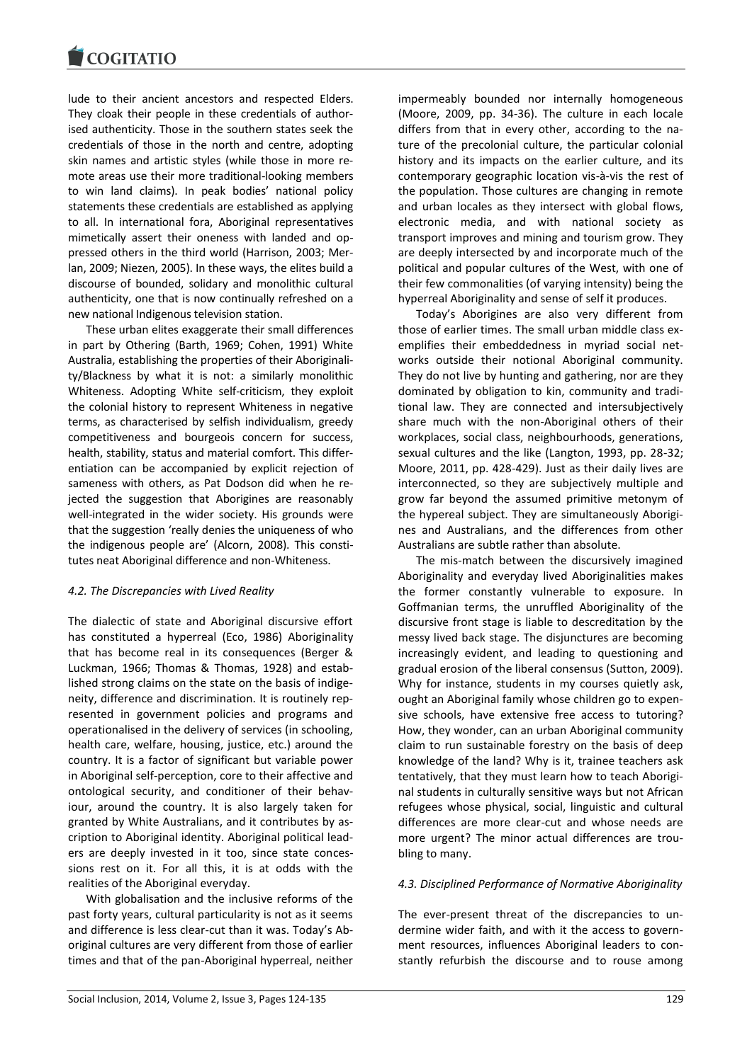lude to their ancient ancestors and respected Elders. They cloak their people in these credentials of authorised authenticity. Those in the southern states seek the credentials of those in the north and centre, adopting skin names and artistic styles (while those in more remote areas use their more traditional-looking members to win land claims). In peak bodies' national policy statements these credentials are established as applying to all. In international fora, Aboriginal representatives mimetically assert their oneness with landed and oppressed others in the third world (Harrison, 2003; Merlan, 2009; Niezen, 2005). In these ways, the elites build a discourse of bounded, solidary and monolithic cultural authenticity, one that is now continually refreshed on a new national Indigenous television station.

These urban elites exaggerate their small differences in part by Othering (Barth, 1969; Cohen, 1991) White Australia, establishing the properties of their Aboriginality/Blackness by what it is not: a similarly monolithic Whiteness. Adopting White self-criticism, they exploit the colonial history to represent Whiteness in negative terms, as characterised by selfish individualism, greedy competitiveness and bourgeois concern for success, health, stability, status and material comfort. This differentiation can be accompanied by explicit rejection of sameness with others, as Pat Dodson did when he rejected the suggestion that Aborigines are reasonably well-integrated in the wider society. His grounds were that the suggestion 'really denies the uniqueness of who the indigenous people are' (Alcorn, 2008). This constitutes neat Aboriginal difference and non-Whiteness.

## *4.2. The Discrepancies with Lived Reality*

The dialectic of state and Aboriginal discursive effort has constituted a hyperreal (Eco, 1986) Aboriginality that has become real in its consequences (Berger & Luckman, 1966; Thomas & Thomas, 1928) and established strong claims on the state on the basis of indigeneity, difference and discrimination. It is routinely represented in government policies and programs and operationalised in the delivery of services (in schooling, health care, welfare, housing, justice, etc.) around the country. It is a factor of significant but variable power in Aboriginal self-perception, core to their affective and ontological security, and conditioner of their behaviour, around the country. It is also largely taken for granted by White Australians, and it contributes by ascription to Aboriginal identity. Aboriginal political leaders are deeply invested in it too, since state concessions rest on it. For all this, it is at odds with the realities of the Aboriginal everyday.

With globalisation and the inclusive reforms of the past forty years, cultural particularity is not as it seems and difference is less clear-cut than it was. Today's Aboriginal cultures are very different from those of earlier times and that of the pan-Aboriginal hyperreal, neither impermeably bounded nor internally homogeneous (Moore, 2009, pp. 34-36). The culture in each locale differs from that in every other, according to the nature of the precolonial culture, the particular colonial history and its impacts on the earlier culture, and its contemporary geographic location vis-à-vis the rest of the population. Those cultures are changing in remote and urban locales as they intersect with global flows, electronic media, and with national society as transport improves and mining and tourism grow. They are deeply intersected by and incorporate much of the political and popular cultures of the West, with one of their few commonalities (of varying intensity) being the hyperreal Aboriginality and sense of self it produces.

Today's Aborigines are also very different from those of earlier times. The small urban middle class exemplifies their embeddedness in myriad social networks outside their notional Aboriginal community. They do not live by hunting and gathering, nor are they dominated by obligation to kin, community and traditional law. They are connected and intersubjectively share much with the non-Aboriginal others of their workplaces, social class, neighbourhoods, generations, sexual cultures and the like (Langton, 1993, pp. 28-32; Moore, 2011, pp. 428-429). Just as their daily lives are interconnected, so they are subjectively multiple and grow far beyond the assumed primitive metonym of the hypereal subject. They are simultaneously Aborigines and Australians, and the differences from other Australians are subtle rather than absolute.

The mis-match between the discursively imagined Aboriginality and everyday lived Aboriginalities makes the former constantly vulnerable to exposure. In Goffmanian terms, the unruffled Aboriginality of the discursive front stage is liable to descreditation by the messy lived back stage. The disjunctures are becoming increasingly evident, and leading to questioning and gradual erosion of the liberal consensus (Sutton, 2009). Why for instance, students in my courses quietly ask, ought an Aboriginal family whose children go to expensive schools, have extensive free access to tutoring? How, they wonder, can an urban Aboriginal community claim to run sustainable forestry on the basis of deep knowledge of the land? Why is it, trainee teachers ask tentatively, that they must learn how to teach Aboriginal students in culturally sensitive ways but not African refugees whose physical, social, linguistic and cultural differences are more clear-cut and whose needs are more urgent? The minor actual differences are troubling to many.

## *4.3. Disciplined Performance of Normative Aboriginality*

The ever-present threat of the discrepancies to undermine wider faith, and with it the access to government resources, influences Aboriginal leaders to constantly refurbish the discourse and to rouse among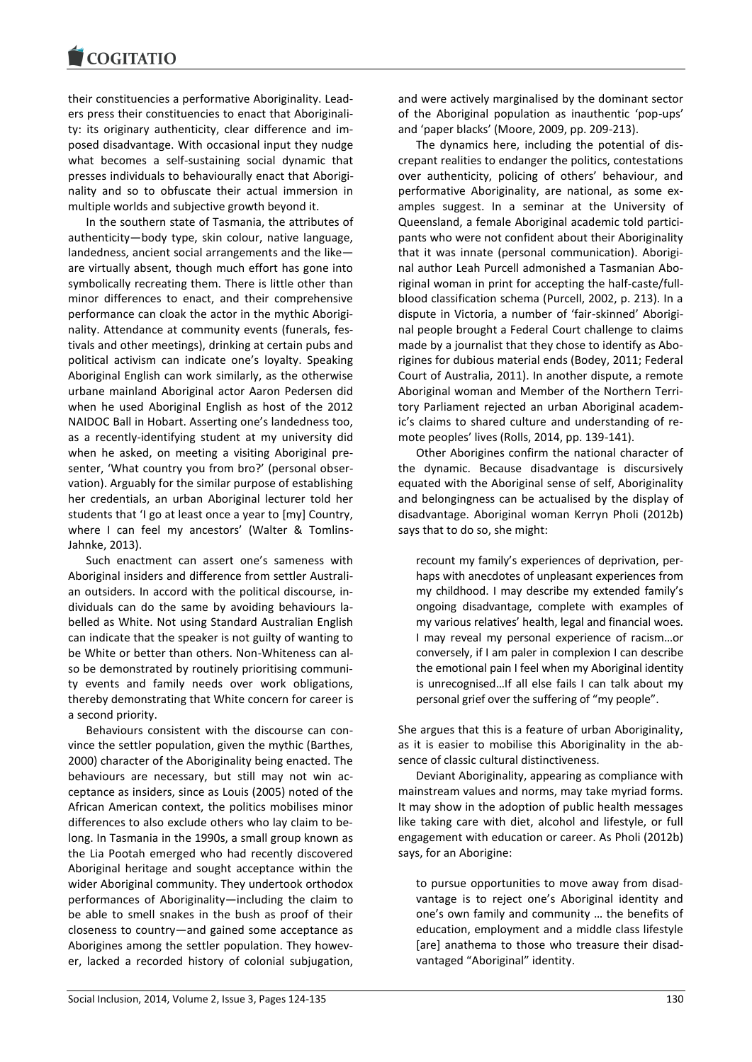their constituencies a performative Aboriginality. Leaders press their constituencies to enact that Aboriginality: its originary authenticity, clear difference and imposed disadvantage. With occasional input they nudge what becomes a self-sustaining social dynamic that presses individuals to behaviourally enact that Aboriginality and so to obfuscate their actual immersion in multiple worlds and subjective growth beyond it.

In the southern state of Tasmania, the attributes of authenticity—body type, skin colour, native language, landedness, ancient social arrangements and the like are virtually absent, though much effort has gone into symbolically recreating them. There is little other than minor differences to enact, and their comprehensive performance can cloak the actor in the mythic Aboriginality. Attendance at community events (funerals, festivals and other meetings), drinking at certain pubs and political activism can indicate one's loyalty. Speaking Aboriginal English can work similarly, as the otherwise urbane mainland Aboriginal actor Aaron Pedersen did when he used Aboriginal English as host of the 2012 NAIDOC Ball in Hobart. Asserting one's landedness too, as a recently-identifying student at my university did when he asked, on meeting a visiting Aboriginal presenter, 'What country you from bro?' (personal observation). Arguably for the similar purpose of establishing her credentials, an urban Aboriginal lecturer told her students that 'I go at least once a year to [my] Country, where I can feel my ancestors' (Walter & Tomlins-Jahnke, 2013).

Such enactment can assert one's sameness with Aboriginal insiders and difference from settler Australian outsiders. In accord with the political discourse, individuals can do the same by avoiding behaviours labelled as White. Not using Standard Australian English can indicate that the speaker is not guilty of wanting to be White or better than others. Non-Whiteness can also be demonstrated by routinely prioritising community events and family needs over work obligations, thereby demonstrating that White concern for career is a second priority.

Behaviours consistent with the discourse can convince the settler population, given the mythic (Barthes, 2000) character of the Aboriginality being enacted. The behaviours are necessary, but still may not win acceptance as insiders, since as Louis (2005) noted of the African American context, the politics mobilises minor differences to also exclude others who lay claim to belong. In Tasmania in the 1990s, a small group known as the Lia Pootah emerged who had recently discovered Aboriginal heritage and sought acceptance within the wider Aboriginal community. They undertook orthodox performances of Aboriginality—including the claim to be able to smell snakes in the bush as proof of their closeness to country—and gained some acceptance as Aborigines among the settler population. They however, lacked a recorded history of colonial subjugation,

and were actively marginalised by the dominant sector of the Aboriginal population as inauthentic 'pop-ups' and 'paper blacks' (Moore, 2009, pp. 209-213).

The dynamics here, including the potential of discrepant realities to endanger the politics, contestations over authenticity, policing of others' behaviour, and performative Aboriginality, are national, as some examples suggest. In a seminar at the University of Queensland, a female Aboriginal academic told participants who were not confident about their Aboriginality that it was innate (personal communication). Aboriginal author Leah Purcell admonished a Tasmanian Aboriginal woman in print for accepting the half-caste/fullblood classification schema (Purcell, 2002, p. 213). In a dispute in Victoria, a number of 'fair-skinned' Aboriginal people brought a Federal Court challenge to claims made by a journalist that they chose to identify as Aborigines for dubious material ends (Bodey, 2011; Federal Court of Australia, 2011). In another dispute, a remote Aboriginal woman and Member of the Northern Territory Parliament rejected an urban Aboriginal academic's claims to shared culture and understanding of remote peoples' lives (Rolls, 2014, pp. 139-141).

Other Aborigines confirm the national character of the dynamic. Because disadvantage is discursively equated with the Aboriginal sense of self, Aboriginality and belongingness can be actualised by the display of disadvantage. Aboriginal woman Kerryn Pholi (2012b) says that to do so, she might:

recount my family's experiences of deprivation, perhaps with anecdotes of unpleasant experiences from my childhood. I may describe my extended family's ongoing disadvantage, complete with examples of my various relatives' health, legal and financial woes. I may reveal my personal experience of racism…or conversely, if I am paler in complexion I can describe the emotional pain I feel when my Aboriginal identity is unrecognised…If all else fails I can talk about my personal grief over the suffering of "my people".

She argues that this is a feature of urban Aboriginality, as it is easier to mobilise this Aboriginality in the absence of classic cultural distinctiveness.

Deviant Aboriginality, appearing as compliance with mainstream values and norms, may take myriad forms. It may show in the adoption of public health messages like taking care with diet, alcohol and lifestyle, or full engagement with education or career. As Pholi (2012b) says, for an Aborigine:

to pursue opportunities to move away from disadvantage is to reject one's Aboriginal identity and one's own family and community … the benefits of education, employment and a middle class lifestyle [are] anathema to those who treasure their disadvantaged "Aboriginal" identity.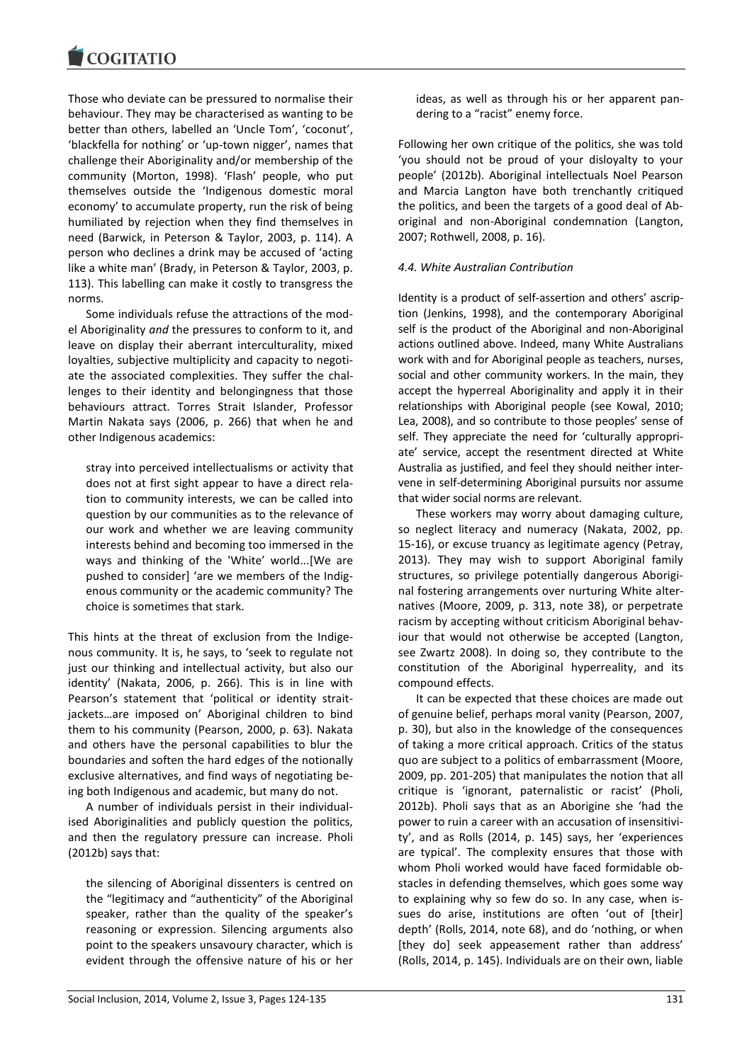Those who deviate can be pressured to normalise their behaviour. They may be characterised as wanting to be better than others, labelled an 'Uncle Tom', 'coconut', 'blackfella for nothing' or 'up-town nigger', names that challenge their Aboriginality and/or membership of the community (Morton, 1998). 'Flash' people, who put themselves outside the 'Indigenous domestic moral economy' to accumulate property, run the risk of being humiliated by rejection when they find themselves in need (Barwick, in Peterson & Taylor, 2003, p. 114). A person who declines a drink may be accused of 'acting like a white man' (Brady, in Peterson & Taylor, 2003, p. 113). This labelling can make it costly to transgress the norms.

Some individuals refuse the attractions of the model Aboriginality *and* the pressures to conform to it, and leave on display their aberrant interculturality, mixed loyalties, subjective multiplicity and capacity to negotiate the associated complexities. They suffer the challenges to their identity and belongingness that those behaviours attract. Torres Strait Islander, Professor Martin Nakata says (2006, p. 266) that when he and other Indigenous academics:

stray into perceived intellectualisms or activity that does not at first sight appear to have a direct relation to community interests, we can be called into question by our communities as to the relevance of our work and whether we are leaving community interests behind and becoming too immersed in the ways and thinking of the 'White' world...[We are pushed to consider] 'are we members of the Indigenous community or the academic community? The choice is sometimes that stark.

This hints at the threat of exclusion from the Indigenous community. It is, he says, to 'seek to regulate not just our thinking and intellectual activity, but also our identity' (Nakata, 2006, p. 266). This is in line with Pearson's statement that 'political or identity straitjackets…are imposed on' Aboriginal children to bind them to his community (Pearson, 2000, p. 63). Nakata and others have the personal capabilities to blur the boundaries and soften the hard edges of the notionally exclusive alternatives, and find ways of negotiating being both Indigenous and academic, but many do not.

A number of individuals persist in their individualised Aboriginalities and publicly question the politics, and then the regulatory pressure can increase. Pholi (2012b) says that:

the silencing of Aboriginal dissenters is centred on the "legitimacy and "authenticity" of the Aboriginal speaker, rather than the quality of the speaker's reasoning or expression. Silencing arguments also point to the speakers unsavoury character, which is evident through the offensive nature of his or her

ideas, as well as through his or her apparent pandering to a "racist" enemy force.

Following her own critique of the politics, she was told 'you should not be proud of your disloyalty to your people' (2012b). Aboriginal intellectuals Noel Pearson and Marcia Langton have both trenchantly critiqued the politics, and been the targets of a good deal of Aboriginal and non-Aboriginal condemnation (Langton, 2007; Rothwell, 2008, p. 16).

## *4.4. White Australian Contribution*

Identity is a product of self-assertion and others' ascription (Jenkins, 1998), and the contemporary Aboriginal self is the product of the Aboriginal and non-Aboriginal actions outlined above. Indeed, many White Australians work with and for Aboriginal people as teachers, nurses, social and other community workers. In the main, they accept the hyperreal Aboriginality and apply it in their relationships with Aboriginal people (see Kowal, 2010; Lea, 2008), and so contribute to those peoples' sense of self. They appreciate the need for 'culturally appropriate' service, accept the resentment directed at White Australia as justified, and feel they should neither intervene in self-determining Aboriginal pursuits nor assume that wider social norms are relevant.

These workers may worry about damaging culture, so neglect literacy and numeracy (Nakata, 2002, pp. 15-16), or excuse truancy as legitimate agency (Petray, 2013). They may wish to support Aboriginal family structures, so privilege potentially dangerous Aboriginal fostering arrangements over nurturing White alternatives (Moore, 2009, p. 313, note 38), or perpetrate racism by accepting without criticism Aboriginal behaviour that would not otherwise be accepted (Langton, see Zwartz 2008). In doing so, they contribute to the constitution of the Aboriginal hyperreality, and its compound effects.

It can be expected that these choices are made out of genuine belief, perhaps moral vanity (Pearson, 2007, p. 30), but also in the knowledge of the consequences of taking a more critical approach. Critics of the status quo are subject to a politics of embarrassment (Moore, 2009, pp. 201-205) that manipulates the notion that all critique is 'ignorant, paternalistic or racist' (Pholi, 2012b). Pholi says that as an Aborigine she 'had the power to ruin a career with an accusation of insensitivity', and as Rolls (2014, p. 145) says, her 'experiences are typical'. The complexity ensures that those with whom Pholi worked would have faced formidable obstacles in defending themselves, which goes some way to explaining why so few do so. In any case, when issues do arise, institutions are often 'out of [their] depth' (Rolls, 2014, note 68), and do 'nothing, or when [they do] seek appeasement rather than address' (Rolls, 2014, p. 145). Individuals are on their own, liable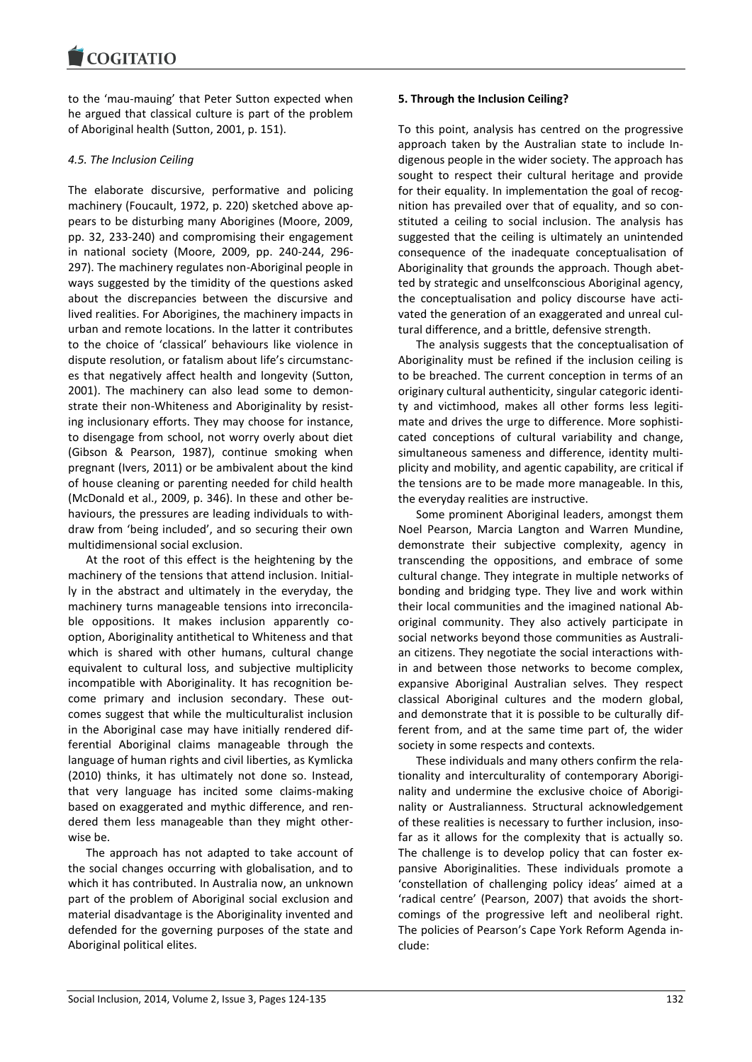to the 'mau-mauing' that Peter Sutton expected when he argued that classical culture is part of the problem of Aboriginal health (Sutton, 2001, p. 151).

# *4.5. The Inclusion Ceiling*

The elaborate discursive, performative and policing machinery (Foucault, 1972, p. 220) sketched above appears to be disturbing many Aborigines (Moore, 2009, pp. 32, 233-240) and compromising their engagement in national society (Moore, 2009, pp. 240-244, 296- 297). The machinery regulates non-Aboriginal people in ways suggested by the timidity of the questions asked about the discrepancies between the discursive and lived realities. For Aborigines, the machinery impacts in urban and remote locations. In the latter it contributes to the choice of 'classical' behaviours like violence in dispute resolution, or fatalism about life's circumstances that negatively affect health and longevity (Sutton, 2001). The machinery can also lead some to demonstrate their non-Whiteness and Aboriginality by resisting inclusionary efforts. They may choose for instance, to disengage from school, not worry overly about diet (Gibson & Pearson, 1987), continue smoking when pregnant (Ivers, 2011) or be ambivalent about the kind of house cleaning or parenting needed for child health (McDonald et al., 2009, p. 346). In these and other behaviours, the pressures are leading individuals to withdraw from 'being included', and so securing their own multidimensional social exclusion.

At the root of this effect is the heightening by the machinery of the tensions that attend inclusion. Initially in the abstract and ultimately in the everyday, the machinery turns manageable tensions into irreconcilable oppositions. It makes inclusion apparently cooption, Aboriginality antithetical to Whiteness and that which is shared with other humans, cultural change equivalent to cultural loss, and subjective multiplicity incompatible with Aboriginality. It has recognition become primary and inclusion secondary. These outcomes suggest that while the multiculturalist inclusion in the Aboriginal case may have initially rendered differential Aboriginal claims manageable through the language of human rights and civil liberties, as Kymlicka (2010) thinks, it has ultimately not done so. Instead, that very language has incited some claims-making based on exaggerated and mythic difference, and rendered them less manageable than they might otherwise be.

The approach has not adapted to take account of the social changes occurring with globalisation, and to which it has contributed. In Australia now, an unknown part of the problem of Aboriginal social exclusion and material disadvantage is the Aboriginality invented and defended for the governing purposes of the state and Aboriginal political elites.

# **5. Through the Inclusion Ceiling?**

To this point, analysis has centred on the progressive approach taken by the Australian state to include Indigenous people in the wider society. The approach has sought to respect their cultural heritage and provide for their equality. In implementation the goal of recognition has prevailed over that of equality, and so constituted a ceiling to social inclusion. The analysis has suggested that the ceiling is ultimately an unintended consequence of the inadequate conceptualisation of Aboriginality that grounds the approach. Though abetted by strategic and unselfconscious Aboriginal agency, the conceptualisation and policy discourse have activated the generation of an exaggerated and unreal cultural difference, and a brittle, defensive strength.

The analysis suggests that the conceptualisation of Aboriginality must be refined if the inclusion ceiling is to be breached. The current conception in terms of an originary cultural authenticity, singular categoric identity and victimhood, makes all other forms less legitimate and drives the urge to difference. More sophisticated conceptions of cultural variability and change, simultaneous sameness and difference, identity multiplicity and mobility, and agentic capability, are critical if the tensions are to be made more manageable. In this, the everyday realities are instructive.

Some prominent Aboriginal leaders, amongst them Noel Pearson, Marcia Langton and Warren Mundine, demonstrate their subjective complexity, agency in transcending the oppositions, and embrace of some cultural change. They integrate in multiple networks of bonding and bridging type. They live and work within their local communities and the imagined national Aboriginal community. They also actively participate in social networks beyond those communities as Australian citizens. They negotiate the social interactions within and between those networks to become complex, expansive Aboriginal Australian selves. They respect classical Aboriginal cultures and the modern global, and demonstrate that it is possible to be culturally different from, and at the same time part of, the wider society in some respects and contexts.

These individuals and many others confirm the relationality and interculturality of contemporary Aboriginality and undermine the exclusive choice of Aboriginality or Australianness. Structural acknowledgement of these realities is necessary to further inclusion, insofar as it allows for the complexity that is actually so. The challenge is to develop policy that can foster expansive Aboriginalities. These individuals promote a 'constellation of challenging policy ideas' aimed at a 'radical centre' (Pearson, 2007) that avoids the shortcomings of the progressive left and neoliberal right. The policies of Pearson's Cape York Reform Agenda include: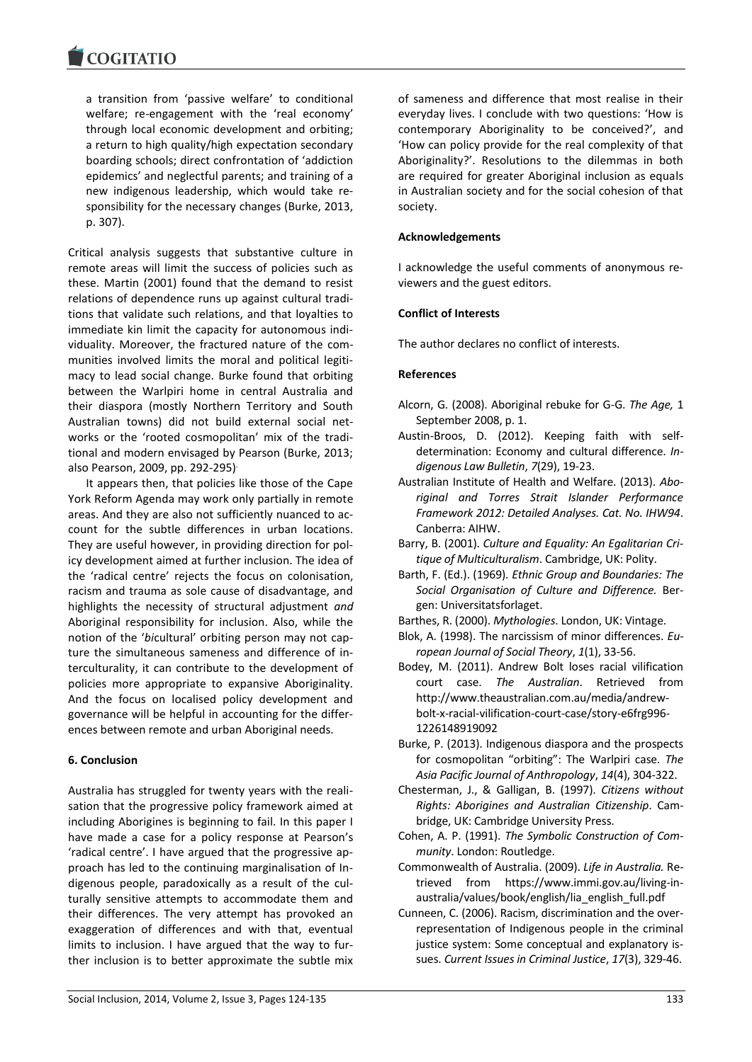a transition from 'passive welfare' to conditional welfare; re-engagement with the 'real economy' through local economic development and orbiting; a return to high quality/high expectation secondary boarding schools; direct confrontation of 'addiction epidemics' and neglectful parents; and training of a new indigenous leadership, which would take responsibility for the necessary changes (Burke, 2013, p. 307).

Critical analysis suggests that substantive culture in remote areas will limit the success of policies such as these. Martin (2001) found that the demand to resist relations of dependence runs up against cultural traditions that validate such relations, and that loyalties to immediate kin limit the capacity for autonomous individuality. Moreover, the fractured nature of the communities involved limits the moral and political legitimacy to lead social change. Burke found that orbiting between the Warlpiri home in central Australia and their diaspora (mostly Northern Territory and South Australian towns) did not build external social networks or the 'rooted cosmopolitan' mix of the traditional and modern envisaged by Pearson (Burke, 2013; also Pearson, 2009, pp. 292-295).

It appears then, that policies like those of the Cape York Reform Agenda may work only partially in remote areas. And they are also not sufficiently nuanced to account for the subtle differences in urban locations. They are useful however, in providing direction for policy development aimed at further inclusion. The idea of the 'radical centre' rejects the focus on colonisation, racism and trauma as sole cause of disadvantage, and highlights the necessity of structural adjustment *and* Aboriginal responsibility for inclusion. Also, while the notion of the '*bi*cultural' orbiting person may not capture the simultaneous sameness and difference of interculturality, it can contribute to the development of policies more appropriate to expansive Aboriginality. And the focus on localised policy development and governance will be helpful in accounting for the differences between remote and urban Aboriginal needs.

## **6. Conclusion**

Australia has struggled for twenty years with the realisation that the progressive policy framework aimed at including Aborigines is beginning to fail. In this paper I have made a case for a policy response at Pearson's 'radical centre'. I have argued that the progressive approach has led to the continuing marginalisation of Indigenous people, paradoxically as a result of the culturally sensitive attempts to accommodate them and their differences. The very attempt has provoked an exaggeration of differences and with that, eventual limits to inclusion. I have argued that the way to further inclusion is to better approximate the subtle mix of sameness and difference that most realise in their everyday lives. I conclude with two questions: 'How is contemporary Aboriginality to be conceived?', and 'How can policy provide for the real complexity of that Aboriginality?'. Resolutions to the dilemmas in both are required for greater Aboriginal inclusion as equals in Australian society and for the social cohesion of that society.

## **Acknowledgements**

I acknowledge the useful comments of anonymous reviewers and the guest editors.

## **Conflict of Interests**

The author declares no conflict of interests.

## **References**

- Alcorn, G. (2008). Aboriginal rebuke for G-G. *The Age,* 1 September 2008, p. 1.
- Austin-Broos, D. (2012). Keeping faith with selfdetermination: Economy and cultural difference. *Indigenous Law Bulletin*, *7*(29), 19-23.
- Australian Institute of Health and Welfare. (2013). *Aboriginal and Torres Strait Islander Performance Framework 2012: Detailed Analyses. Cat. No. IHW94*. Canberra: AIHW.
- Barry, B. (2001). *Culture and Equality: An Egalitarian Critique of Multiculturalism*. Cambridge, UK: Polity.
- Barth, F. (Ed.). (1969). *Ethnic Group and Boundaries: The Social Organisation of Culture and Difference.* Bergen: Universitatsforlaget.
- Barthes, R. (2000). *Mythologies*. London, UK: Vintage.
- Blok, A. (1998). The narcissism of minor differences. *European Journal of Social Theory*, *1*(1), 33-56.
- Bodey, M. (2011). Andrew Bolt loses racial vilification court case. *The Australian*. Retrieved from http://www.theaustralian.com.au/media/andrewbolt-x-racial-vilification-court-case/story-e6frg996- 1226148919092
- Burke, P. (2013). Indigenous diaspora and the prospects for cosmopolitan "orbiting": The Warlpiri case. *The Asia Pacific Journal of Anthropology*, *14*(4), 304-322.
- Chesterman, J., & Galligan, B. (1997). *Citizens without Rights: Aborigines and Australian Citizenship*. Cambridge, UK: Cambridge University Press.
- Cohen, A. P. (1991). *The Symbolic Construction of Community*. London: Routledge.
- Commonwealth of Australia. (2009). *Life in Australia.* Retrieved from https://www.immi.gov.au/living-inaustralia/values/book/english/lia\_english\_full.pdf
- Cunneen, C. (2006). Racism, discrimination and the overrepresentation of Indigenous people in the criminal justice system: Some conceptual and explanatory issues. *Current Issues in Criminal Justice*, *17*(3), 329-46.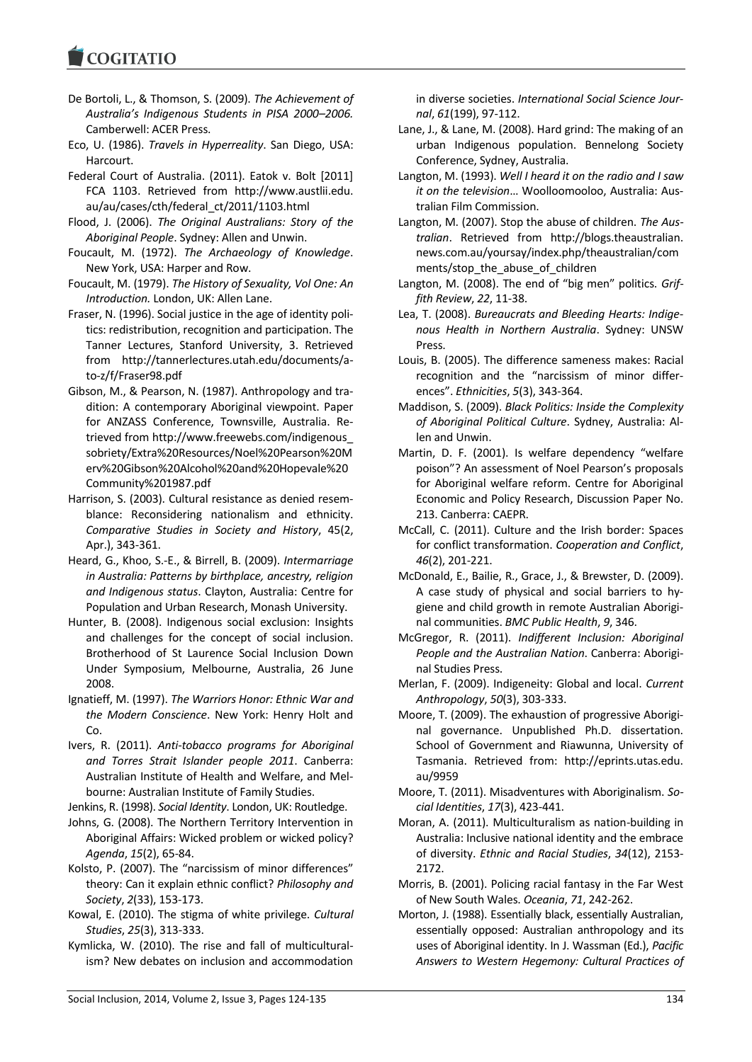- De Bortoli, L., & Thomson, S. (2009). *The Achievement of Australia's Indigenous Students in PISA 2000–2006.*  Camberwell: ACER Press.
- Eco, U. (1986). *Travels in Hyperreality*. San Diego, USA: Harcourt.
- Federal Court of Australia. (2011). Eatok v. Bolt [2011] FCA 1103. Retrieved from http://www.austlii.edu. au/au/cases/cth/federal\_ct/2011/1103.html
- Flood, J. (2006). *The Original Australians: Story of the Aboriginal People*. Sydney: Allen and Unwin.
- Foucault, M. (1972). *The Archaeology of Knowledge*. New York, USA: Harper and Row.
- Foucault, M. (1979). *The History of Sexuality, Vol One: An Introduction.* London, UK: Allen Lane.
- Fraser, N. (1996). Social justice in the age of identity politics: redistribution, recognition and participation. The Tanner Lectures, Stanford University, 3. Retrieved from http://tannerlectures.utah.edu/documents/ato-z/f/Fraser98.pdf
- Gibson, M., & Pearson, N. (1987). Anthropology and tradition: A contemporary Aboriginal viewpoint. Paper for ANZASS Conference, Townsville, Australia. Retrieved from http://www.freewebs.com/indigenous\_ sobriety/Extra%20Resources/Noel%20Pearson%20M erv%20Gibson%20Alcohol%20and%20Hopevale%20 Community%201987.pdf
- Harrison, S. (2003). Cultural resistance as denied resemblance: Reconsidering nationalism and ethnicity. *Comparative Studies in Society and History*, 45(2, Apr.), 343-361.
- Heard, G., Khoo, S.-E., & Birrell, B. (2009). *Intermarriage in Australia: Patterns by birthplace, ancestry, religion and Indigenous status*. Clayton, Australia: Centre for Population and Urban Research, Monash University.
- Hunter, B. (2008). Indigenous social exclusion: Insights and challenges for the concept of social inclusion. Brotherhood of St Laurence Social Inclusion Down Under Symposium, Melbourne, Australia, 26 June 2008.
- Ignatieff, M. (1997). *The Warriors Honor: Ethnic War and the Modern Conscience*. New York: Henry Holt and Co.
- Ivers, R. (2011). *Anti-tobacco programs for Aboriginal and Torres Strait Islander people 2011*. Canberra: Australian Institute of Health and Welfare, and Melbourne: Australian Institute of Family Studies.

Jenkins, R. (1998). *Social Identity*. London, UK: Routledge.

- Johns, G. (2008). The Northern Territory Intervention in Aboriginal Affairs: Wicked problem or wicked policy? *Agenda*, *15*(2), 65-84.
- Kolsto, P. (2007). The "narcissism of minor differences" theory: Can it explain ethnic conflict? *Philosophy and Society*, *2*(33), 153-173.
- Kowal, E. (2010). The stigma of white privilege. *Cultural Studies*, *25*(3), 313-333.
- Kymlicka, W. (2010). The rise and fall of multiculturalism? New debates on inclusion and accommodation

in diverse societies. *International Social Science Journal*, *61*(199), 97-112.

- Lane, J., & Lane, M. (2008). Hard grind: The making of an urban Indigenous population. Bennelong Society Conference, Sydney, Australia.
- Langton, M. (1993). *Well I heard it on the radio and I saw it on the television*… Woolloomooloo, Australia: Australian Film Commission.
- Langton, M. (2007). Stop the abuse of children. *The Australian*. Retrieved from http://blogs.theaustralian. news.com.au/yoursay/index.php/theaustralian/com ments/stop\_the\_abuse\_of\_children
- Langton, M. (2008). The end of "big men" politics. *Griffith Review*, *22*, 11-38.
- Lea, T. (2008). *Bureaucrats and Bleeding Hearts: Indigenous Health in Northern Australia*. Sydney: UNSW Press.
- Louis, B. (2005). The difference sameness makes: Racial recognition and the "narcissism of minor differences". *Ethnicities*, *5*(3), 343-364.
- Maddison, S. (2009). *Black Politics: Inside the Complexity of Aboriginal Political Culture*. Sydney, Australia: Allen and Unwin.
- Martin, D. F. (2001). Is welfare dependency "welfare poison"? An assessment of Noel Pearson's proposals for Aboriginal welfare reform. Centre for Aboriginal Economic and Policy Research, Discussion Paper No. 213. Canberra: CAEPR.
- McCall, C. (2011). Culture and the Irish border: Spaces for conflict transformation. *Cooperation and Conflict*, *46*(2), 201-221.
- McDonald, E., Bailie, R., Grace, J., & Brewster, D. (2009). A case study of physical and social barriers to hygiene and child growth in remote Australian Aboriginal communities. *BMC Public Health*, *9*, 346.
- McGregor, R. (2011). *Indifferent Inclusion: Aboriginal People and the Australian Nation*. Canberra: Aboriginal Studies Press.
- Merlan, F. (2009). Indigeneity: Global and local. *Current Anthropology*, *50*(3), 303-333.
- Moore, T. (2009). The exhaustion of progressive Aboriginal governance. Unpublished Ph.D. dissertation. School of Government and Riawunna, University of Tasmania. Retrieved from: http://eprints.utas.edu. au/9959
- Moore, T. (2011). Misadventures with Aboriginalism. *Social Identities*, *17*(3), 423-441.
- Moran, A. (2011). Multiculturalism as nation-building in Australia: Inclusive national identity and the embrace of diversity. *Ethnic and Racial Studies*, *34*(12), 2153- 2172.
- Morris, B. (2001). Policing racial fantasy in the Far West of New South Wales. *Oceania*, *71*, 242-262.
- Morton, J. (1988). Essentially black, essentially Australian, essentially opposed: Australian anthropology and its uses of Aboriginal identity. In J. Wassman (Ed.), *Pacific Answers to Western Hegemony: Cultural Practices of*